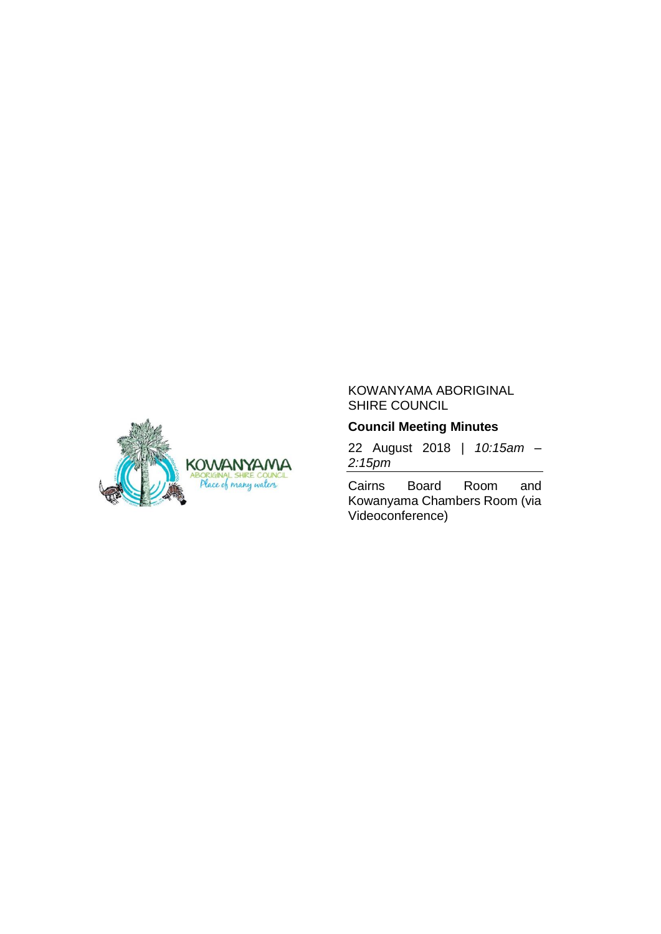

# KOWANYAMA ABORIGINAL SHIRE COUNCIL

# **Council Meeting Minutes**

22 August 2018 | *10:15am – 2:15pm*

Cairns Board Room and Kowanyama Chambers Room (via Videoconference)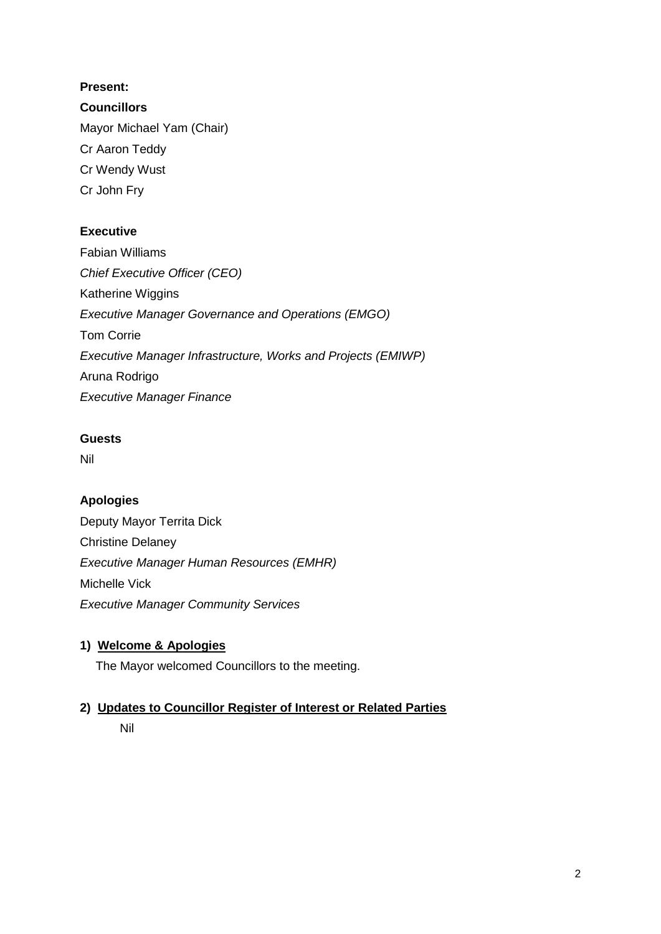# **Present:**

**Councillors** Mayor Michael Yam (Chair) Cr Aaron Teddy Cr Wendy Wust Cr John Fry

# **Executive**

Fabian Williams *Chief Executive Officer (CEO)* Katherine Wiggins *Executive Manager Governance and Operations (EMGO)* Tom Corrie *Executive Manager Infrastructure, Works and Projects (EMIWP)* Aruna Rodrigo *Executive Manager Finance*

# **Guests**

Nil

# **Apologies**

Deputy Mayor Territa Dick Christine Delaney *Executive Manager Human Resources (EMHR)* Michelle Vick *Executive Manager Community Services*

# **1) Welcome & Apologies**

The Mayor welcomed Councillors to the meeting.

# **2) Updates to Councillor Register of Interest or Related Parties**

Nil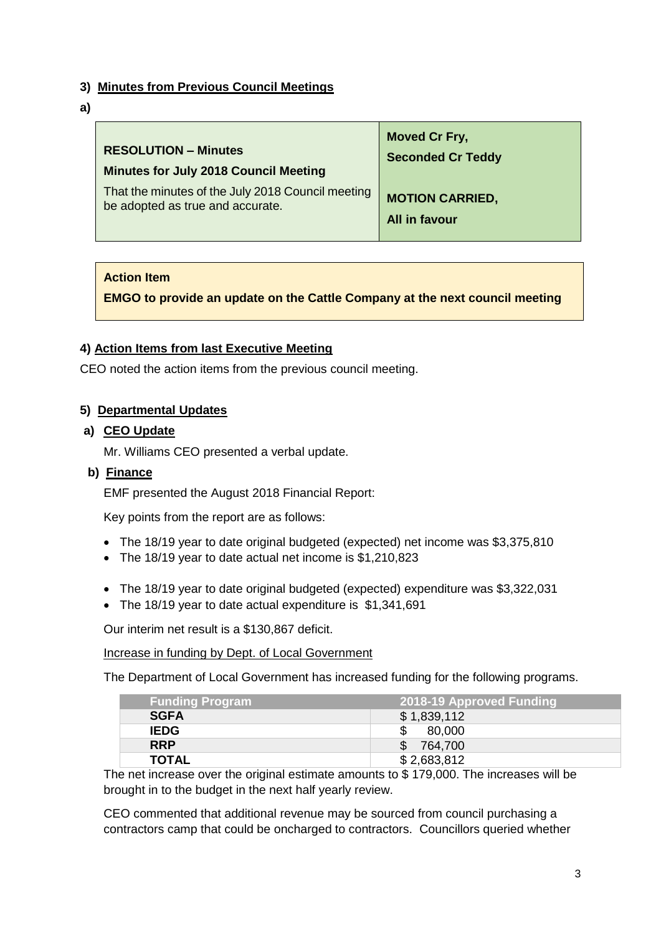# **3) Minutes from Previous Council Meetings**

**a)**

| <b>RESOLUTION - Minutes</b>                       | <b>Moved Cr Fry,</b>     |
|---------------------------------------------------|--------------------------|
| <b>Minutes for July 2018 Council Meeting</b>      | <b>Seconded Cr Teddy</b> |
| That the minutes of the July 2018 Council meeting | <b>MOTION CARRIED,</b>   |
| be adopted as true and accurate.                  | All in favour            |

# **Action Item**

**EMGO to provide an update on the Cattle Company at the next council meeting**

# **4) Action Items from last Executive Meeting**

CEO noted the action items from the previous council meeting.

### **5) Departmental Updates**

### **a) CEO Update**

Mr. Williams CEO presented a verbal update.

### **b) Finance**

EMF presented the August 2018 Financial Report:

Key points from the report are as follows:

- The 18/19 year to date original budgeted (expected) net income was \$3,375,810
- The 18/19 year to date actual net income is \$1,210,823
- The 18/19 year to date original budgeted (expected) expenditure was \$3,322,031
- The 18/19 year to date actual expenditure is \$1,341,691

Our interim net result is a \$130,867 deficit.

Increase in funding by Dept. of Local Government

The Department of Local Government has increased funding for the following programs.

| <b>Funding Program</b> | 2018-19 Approved Funding |
|------------------------|--------------------------|
| <b>SGFA</b>            | \$1,839,112              |
| <b>IEDG</b>            | \$<br>80,000             |
| <b>RRP</b>             | $\mathbb{S}$<br>764,700  |
| <b>TOTAL</b>           | \$2,683,812              |

The net increase over the original estimate amounts to \$ 179,000. The increases will be brought in to the budget in the next half yearly review.

CEO commented that additional revenue may be sourced from council purchasing a contractors camp that could be oncharged to contractors. Councillors queried whether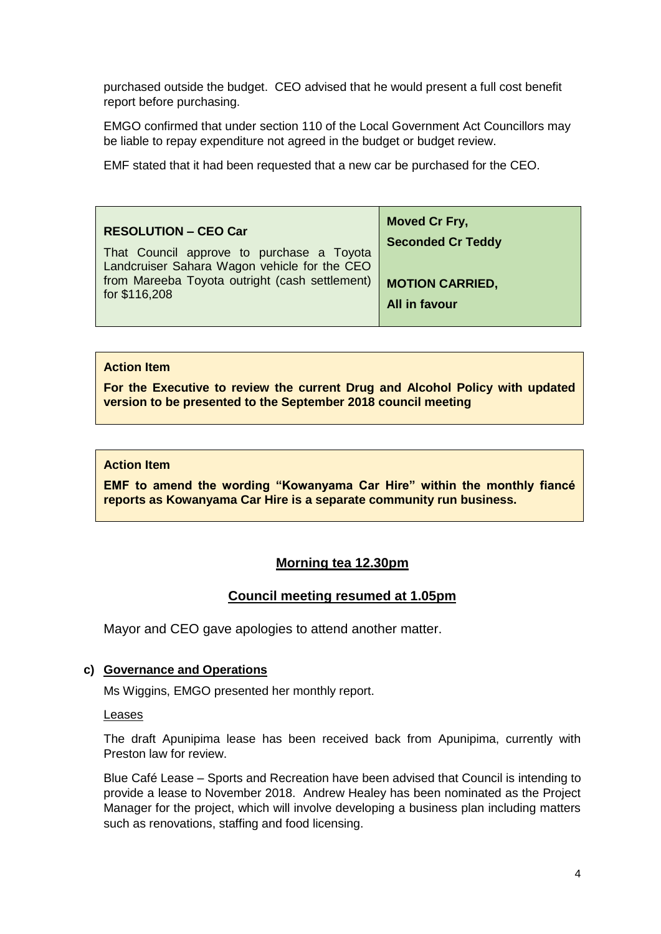purchased outside the budget. CEO advised that he would present a full cost benefit report before purchasing.

EMGO confirmed that under section 110 of the Local Government Act Councillors may be liable to repay expenditure not agreed in the budget or budget review.

EMF stated that it had been requested that a new car be purchased for the CEO.

| <b>RESOLUTION - CEO Car</b><br>That Council approve to purchase a Toyota<br>Landcruiser Sahara Wagon vehicle for the CEO<br>from Mareeba Toyota outright (cash settlement)<br>for \$116,208 | Moved Cr Fry,<br><b>Seconded Cr Teddy</b> |
|---------------------------------------------------------------------------------------------------------------------------------------------------------------------------------------------|-------------------------------------------|
|                                                                                                                                                                                             | <b>MOTION CARRIED,</b><br>All in favour   |

### **Action Item**

**For the Executive to review the current Drug and Alcohol Policy with updated version to be presented to the September 2018 council meeting**

### **Action Item**

**EMF to amend the wording "Kowanyama Car Hire" within the monthly fiancé reports as Kowanyama Car Hire is a separate community run business.** 

### **Morning tea 12.30pm**

### **Council meeting resumed at 1.05pm**

Mayor and CEO gave apologies to attend another matter.

### **c) Governance and Operations**

Ms Wiggins, EMGO presented her monthly report.

#### Leases

The draft Apunipima lease has been received back from Apunipima, currently with Preston law for review.

Blue Café Lease – Sports and Recreation have been advised that Council is intending to provide a lease to November 2018. Andrew Healey has been nominated as the Project Manager for the project, which will involve developing a business plan including matters such as renovations, staffing and food licensing.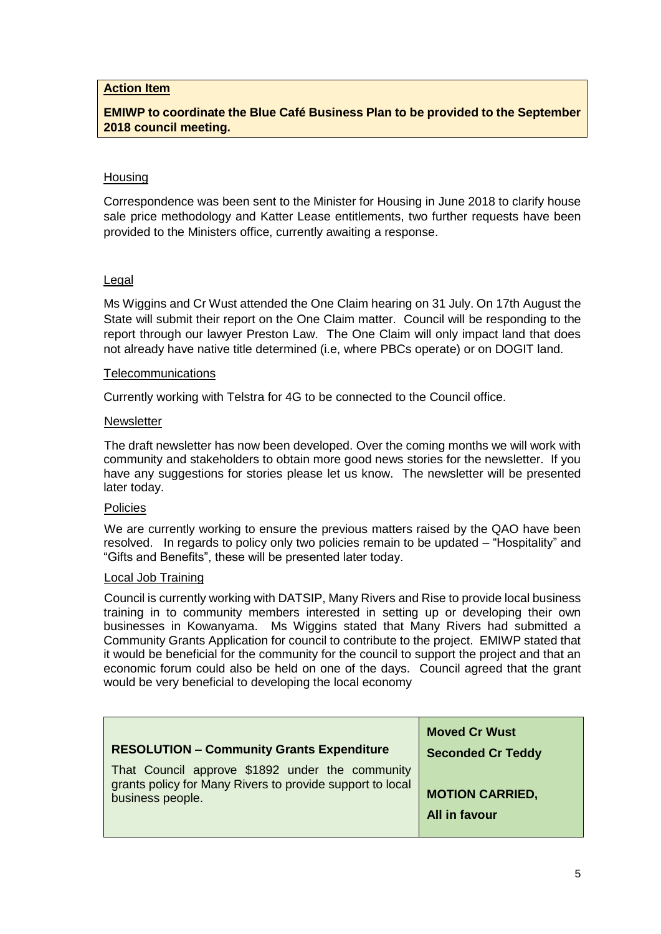### **Action Item**

**EMIWP to coordinate the Blue Café Business Plan to be provided to the September 2018 council meeting.**

### **Housing**

Correspondence was been sent to the Minister for Housing in June 2018 to clarify house sale price methodology and Katter Lease entitlements, two further requests have been provided to the Ministers office, currently awaiting a response.

#### Legal

Ms Wiggins and Cr Wust attended the One Claim hearing on 31 July. On 17th August the State will submit their report on the One Claim matter. Council will be responding to the report through our lawyer Preston Law. The One Claim will only impact land that does not already have native title determined (i.e, where PBCs operate) or on DOGIT land.

#### Telecommunications

Currently working with Telstra for 4G to be connected to the Council office.

#### **Newsletter**

The draft newsletter has now been developed. Over the coming months we will work with community and stakeholders to obtain more good news stories for the newsletter. If you have any suggestions for stories please let us know. The newsletter will be presented later today.

### Policies

We are currently working to ensure the previous matters raised by the QAO have been resolved. In regards to policy only two policies remain to be updated – "Hospitality" and "Gifts and Benefits", these will be presented later today.

### Local Job Training

Council is currently working with DATSIP, Many Rivers and Rise to provide local business training in to community members interested in setting up or developing their own businesses in Kowanyama. Ms Wiggins stated that Many Rivers had submitted a Community Grants Application for council to contribute to the project. EMIWP stated that it would be beneficial for the community for the council to support the project and that an economic forum could also be held on one of the days. Council agreed that the grant would be very beneficial to developing the local economy

|                                                                                                                                  | <b>Moved Cr Wust</b>                    |
|----------------------------------------------------------------------------------------------------------------------------------|-----------------------------------------|
| <b>RESOLUTION - Community Grants Expenditure</b>                                                                                 | <b>Seconded Cr Teddy</b>                |
| That Council approve \$1892 under the community<br>grants policy for Many Rivers to provide support to local<br>business people. | <b>MOTION CARRIED,</b><br>All in favour |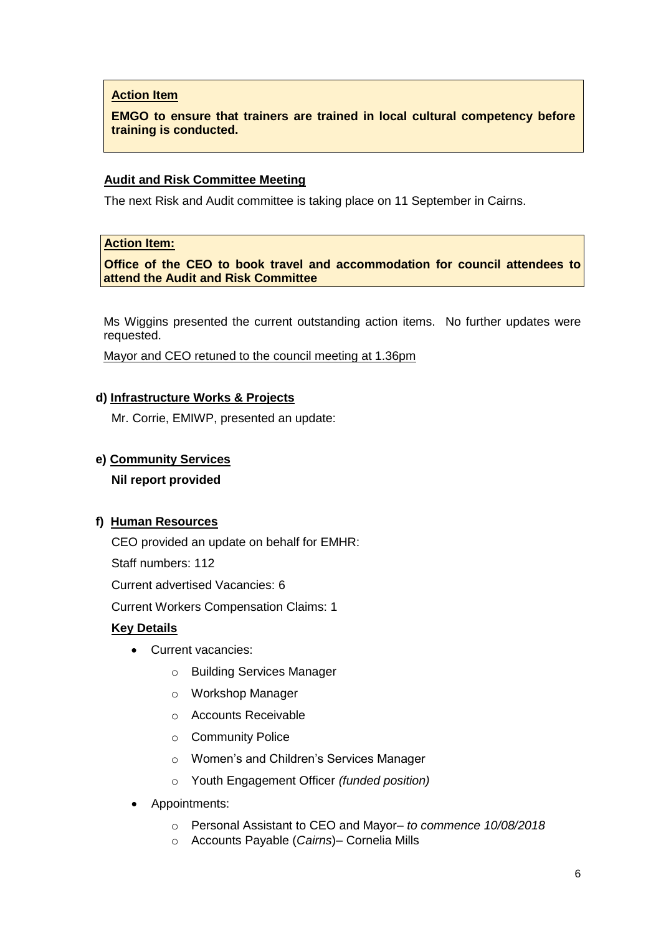# **Action Item**

**EMGO to ensure that trainers are trained in local cultural competency before training is conducted.** 

### **Audit and Risk Committee Meeting**

The next Risk and Audit committee is taking place on 11 September in Cairns.

### **Action Item:**

**Office of the CEO to book travel and accommodation for council attendees to attend the Audit and Risk Committee**

Ms Wiggins presented the current outstanding action items. No further updates were requested.

Mayor and CEO retuned to the council meeting at 1.36pm

### **d) Infrastructure Works & Projects**

Mr. Corrie, EMIWP, presented an update:

### **e) Community Services**

### **Nil report provided**

### **f) Human Resources**

CEO provided an update on behalf for EMHR:

Staff numbers: 112

Current advertised Vacancies: 6

Current Workers Compensation Claims: 1

### **Key Details**

- Current vacancies:
	- o Building Services Manager
	- o Workshop Manager
	- o Accounts Receivable
	- o Community Police
	- o Women's and Children's Services Manager
	- o Youth Engagement Officer *(funded position)*
- Appointments:
	- o Personal Assistant to CEO and Mayor– *to commence 10/08/2018*
	- o Accounts Payable (*Cairns*)– Cornelia Mills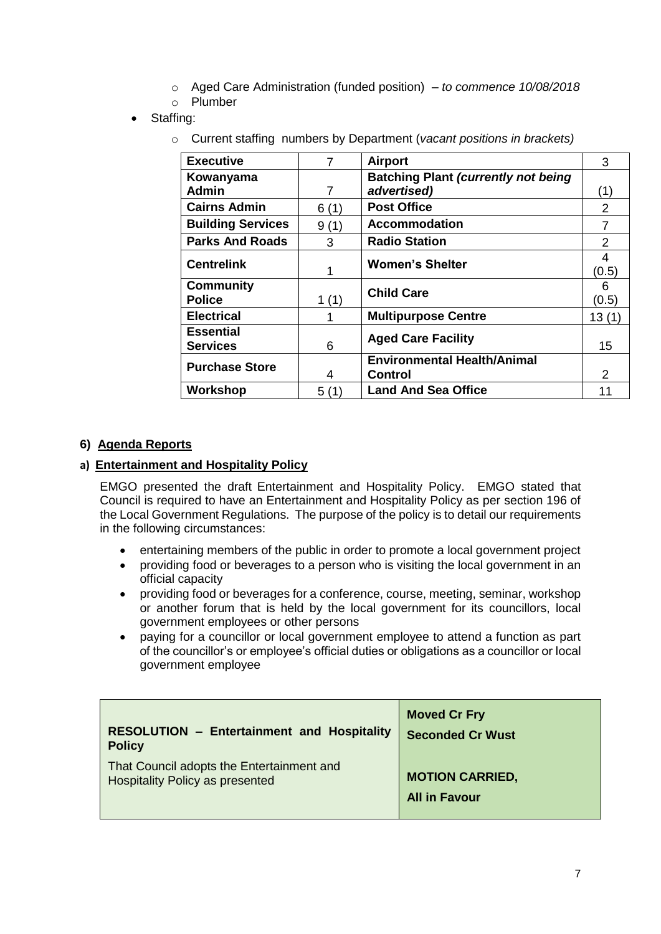- o Aged Care Administration (funded position) *to commence 10/08/2018*
- o Plumber
- Staffing:
	- o Current staffing numbers by Department (*vacant positions in brackets)*

| <b>Executive</b>                    | 7     | <b>Airport</b>                                | 3             |
|-------------------------------------|-------|-----------------------------------------------|---------------|
| Kowanyama                           |       | <b>Batching Plant (currently not being)</b>   |               |
| <b>Admin</b>                        | 7     | advertised)                                   |               |
| <b>Cairns Admin</b>                 | 6(1)  | <b>Post Office</b>                            | $\mathcal{P}$ |
| <b>Building Services</b>            | 9(1)  | <b>Accommodation</b>                          | 7             |
| <b>Parks And Roads</b>              | 3     | <b>Radio Station</b>                          | 2             |
| <b>Centrelink</b>                   | 1     | <b>Women's Shelter</b>                        | 4<br>(0.5)    |
| <b>Community</b><br><b>Police</b>   | 1(1)  | <b>Child Care</b>                             | 6<br>(0.5)    |
| <b>Electrical</b>                   |       | <b>Multipurpose Centre</b>                    | 13(1)         |
| <b>Essential</b><br><b>Services</b> | 6     | <b>Aged Care Facility</b>                     | 15            |
| <b>Purchase Store</b>               | 4     | <b>Environmental Health/Animal</b><br>Control | $\mathcal{P}$ |
| Workshop                            | 5 (1) | <b>Land And Sea Office</b>                    | 11            |

# **6) Agenda Reports**

# **a) Entertainment and Hospitality Policy**

EMGO presented the draft Entertainment and Hospitality Policy. EMGO stated that Council is required to have an Entertainment and Hospitality Policy as per section 196 of the Local Government Regulations. The purpose of the policy is to detail our requirements in the following circumstances:

- entertaining members of the public in order to promote a local government project
- providing food or beverages to a person who is visiting the local government in an official capacity
- providing food or beverages for a conference, course, meeting, seminar, workshop or another forum that is held by the local government for its councillors, local government employees or other persons
- paying for a councillor or local government employee to attend a function as part of the councillor's or employee's official duties or obligations as a councillor or local government employee

| <b>RESOLUTION - Entertainment and Hospitality</b> | <b>Moved Cr Fry</b>     |
|---------------------------------------------------|-------------------------|
| <b>Policy</b>                                     | <b>Seconded Cr Wust</b> |
| That Council adopts the Entertainment and         | <b>MOTION CARRIED,</b>  |
| <b>Hospitality Policy as presented</b>            | <b>All in Favour</b>    |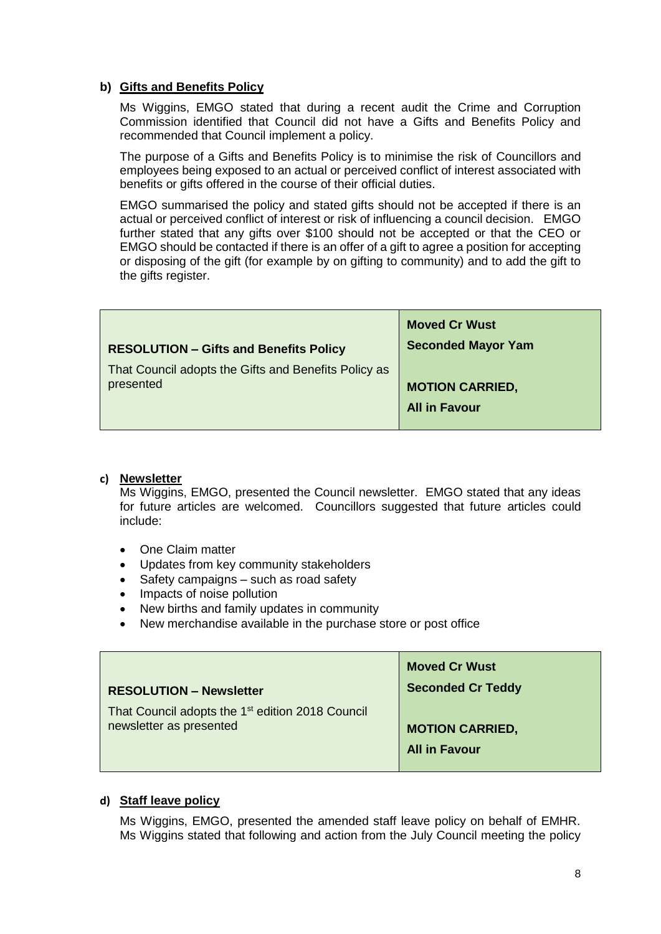### **b) Gifts and Benefits Policy**

Ms Wiggins, EMGO stated that during a recent audit the Crime and Corruption Commission identified that Council did not have a Gifts and Benefits Policy and recommended that Council implement a policy.

The purpose of a Gifts and Benefits Policy is to minimise the risk of Councillors and employees being exposed to an actual or perceived conflict of interest associated with benefits or gifts offered in the course of their official duties.

EMGO summarised the policy and stated gifts should not be accepted if there is an actual or perceived conflict of interest or risk of influencing a council decision. EMGO further stated that any gifts over \$100 should not be accepted or that the CEO or EMGO should be contacted if there is an offer of a gift to agree a position for accepting or disposing of the gift (for example by on gifting to community) and to add the gift to the gifts register.

| <b>RESOLUTION - Gifts and Benefits Policy</b>        | <b>Moved Cr Wust</b><br><b>Seconded Mayor Yam</b> |
|------------------------------------------------------|---------------------------------------------------|
| That Council adopts the Gifts and Benefits Policy as | <b>MOTION CARRIED,</b>                            |
| presented                                            | <b>All in Favour</b>                              |

### **c) Newsletter**

Ms Wiggins, EMGO, presented the Council newsletter. EMGO stated that any ideas for future articles are welcomed. Councillors suggested that future articles could include:

- One Claim matter
- Updates from key community stakeholders
- Safety campaigns such as road safety
- Impacts of noise pollution
- New births and family updates in community
- New merchandise available in the purchase store or post office

|                                                                                         | <b>Moved Cr Wust</b>     |
|-----------------------------------------------------------------------------------------|--------------------------|
| <b>RESOLUTION - Newsletter</b>                                                          | <b>Seconded Cr Teddy</b> |
| That Council adopts the 1 <sup>st</sup> edition 2018 Council<br>newsletter as presented | <b>MOTION CARRIED,</b>   |
|                                                                                         | <b>All in Favour</b>     |

### **d) Staff leave policy**

Ms Wiggins, EMGO, presented the amended staff leave policy on behalf of EMHR. Ms Wiggins stated that following and action from the July Council meeting the policy